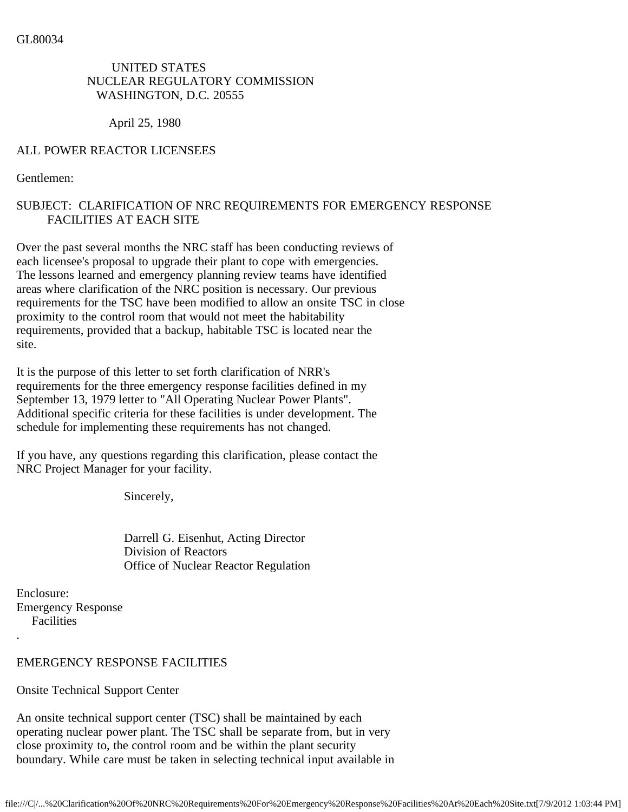UNITED STATES NUCLEAR REGULATORY COMMISSION WASHINGTON, D.C. 20555

April 25, 1980

## ALL POWER REACTOR LICENSEES

Gentlemen:

## SUBJECT: CLARIFICATION OF NRC REQUIREMENTS FOR EMERGENCY RESPONSE FACILITIES AT EACH SITE

Over the past several months the NRC staff has been conducting reviews of each licensee's proposal to upgrade their plant to cope with emergencies. The lessons learned and emergency planning review teams have identified areas where clarification of the NRC position is necessary. Our previous requirements for the TSC have been modified to allow an onsite TSC in close proximity to the control room that would not meet the habitability requirements, provided that a backup, habitable TSC is located near the site.

It is the purpose of this letter to set forth clarification of NRR's requirements for the three emergency response facilities defined in my September 13, 1979 letter to "All Operating Nuclear Power Plants". Additional specific criteria for these facilities is under development. The schedule for implementing these requirements has not changed.

If you have, any questions regarding this clarification, please contact the NRC Project Manager for your facility.

Sincerely,

 Darrell G. Eisenhut, Acting Director Division of Reactors Office of Nuclear Reactor Regulation

Enclosure: Emergency Response Facilities .

## EMERGENCY RESPONSE FACILITIES

Onsite Technical Support Center

An onsite technical support center (TSC) shall be maintained by each operating nuclear power plant. The TSC shall be separate from, but in very close proximity to, the control room and be within the plant security boundary. While care must be taken in selecting technical input available in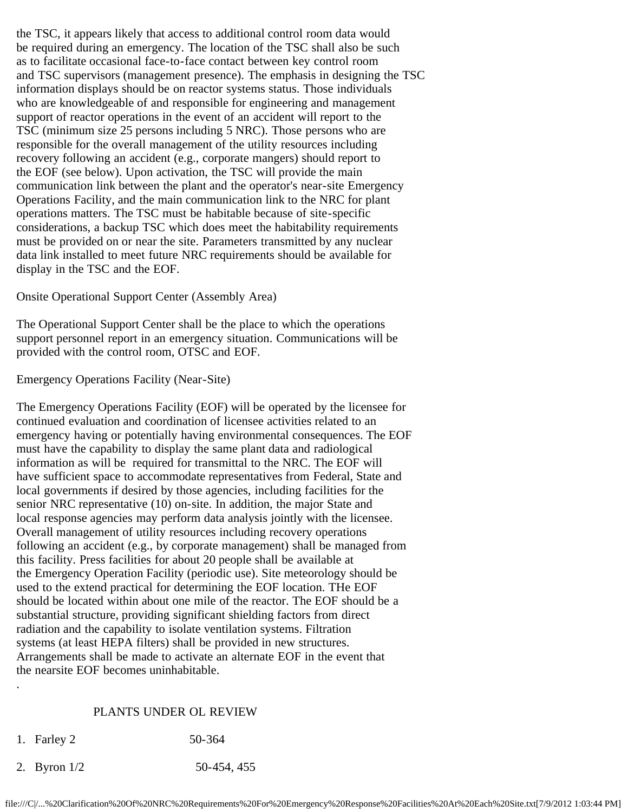the TSC, it appears likely that access to additional control room data would be required during an emergency. The location of the TSC shall also be such as to facilitate occasional face-to-face contact between key control room and TSC supervisors (management presence). The emphasis in designing the TSC information displays should be on reactor systems status. Those individuals who are knowledgeable of and responsible for engineering and management support of reactor operations in the event of an accident will report to the TSC (minimum size 25 persons including 5 NRC). Those persons who are responsible for the overall management of the utility resources including recovery following an accident (e.g., corporate mangers) should report to the EOF (see below). Upon activation, the TSC will provide the main communication link between the plant and the operator's near-site Emergency Operations Facility, and the main communication link to the NRC for plant operations matters. The TSC must be habitable because of site-specific considerations, a backup TSC which does meet the habitability requirements must be provided on or near the site. Parameters transmitted by any nuclear data link installed to meet future NRC requirements should be available for display in the TSC and the EOF.

Onsite Operational Support Center (Assembly Area)

The Operational Support Center shall be the place to which the operations support personnel report in an emergency situation. Communications will be provided with the control room, OTSC and EOF.

Emergency Operations Facility (Near-Site)

The Emergency Operations Facility (EOF) will be operated by the licensee for continued evaluation and coordination of licensee activities related to an emergency having or potentially having environmental consequences. The EOF must have the capability to display the same plant data and radiological information as will be required for transmittal to the NRC. The EOF will have sufficient space to accommodate representatives from Federal, State and local governments if desired by those agencies, including facilities for the senior NRC representative (10) on-site. In addition, the major State and local response agencies may perform data analysis jointly with the licensee. Overall management of utility resources including recovery operations following an accident (e.g., by corporate management) shall be managed from this facility. Press facilities for about 20 people shall be available at the Emergency Operation Facility (periodic use). Site meteorology should be used to the extend practical for determining the EOF location. THe EOF should be located within about one mile of the reactor. The EOF should be a substantial structure, providing significant shielding factors from direct radiation and the capability to isolate ventilation systems. Filtration systems (at least HEPA filters) shall be provided in new structures. Arrangements shall be made to activate an alternate EOF in the event that the nearsite EOF becomes uninhabitable.

## PLANTS UNDER OL REVIEW

1. Farley 2 50-364

.

2. Byron 1/2 50-454, 455